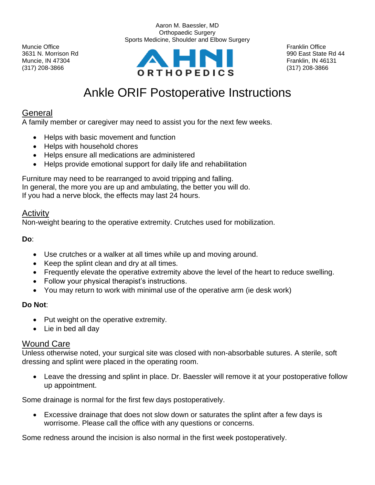

Aaron M. Baessler, MD Orthopaedic Surgery Sports Medicine, Shoulder and Elbow Surgery

# Ankle ORIF Postoperative Instructions

## **General**

A family member or caregiver may need to assist you for the next few weeks.

- Helps with basic movement and function
- Helps with household chores
- Helps ensure all medications are administered
- Helps provide emotional support for daily life and rehabilitation

Furniture may need to be rearranged to avoid tripping and falling. In general, the more you are up and ambulating, the better you will do. If you had a nerve block, the effects may last 24 hours.

#### Activity

Non-weight bearing to the operative extremity. Crutches used for mobilization.

**Do**:

- Use crutches or a walker at all times while up and moving around.
- Keep the splint clean and dry at all times.
- Frequently elevate the operative extremity above the level of the heart to reduce swelling.
- Follow your physical therapist's instructions.
- You may return to work with minimal use of the operative arm (ie desk work)

#### **Do Not**:

- Put weight on the operative extremity.
- Lie in bed all day

#### Wound Care

Unless otherwise noted, your surgical site was closed with non-absorbable sutures. A sterile, soft dressing and splint were placed in the operating room.

• Leave the dressing and splint in place. Dr. Baessler will remove it at your postoperative follow up appointment.

Some drainage is normal for the first few days postoperatively.

• Excessive drainage that does not slow down or saturates the splint after a few days is worrisome. Please call the office with any questions or concerns.

Some redness around the incision is also normal in the first week postoperatively.